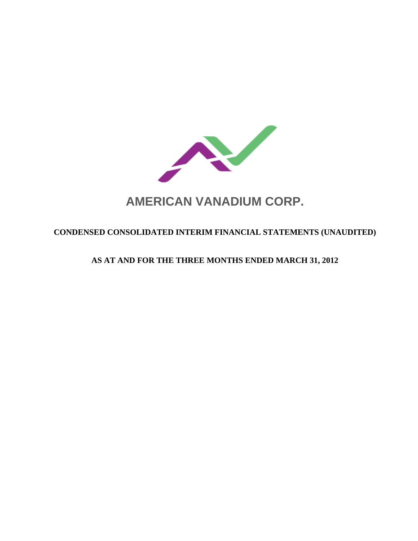

# **CONDENSED CONSOLIDATED INTERIM FINANCIAL STATEMENTS (UNAUDITED)**

# **AS AT AND FOR THE THREE MONTHS ENDED MARCH 31, 2012**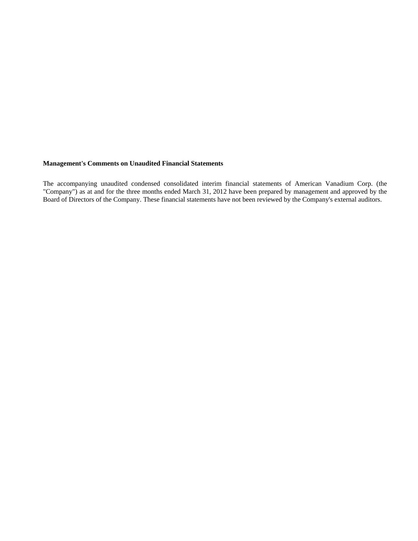# **Management's Comments on Unaudited Financial Statements**

The accompanying unaudited condensed consolidated interim financial statements of American Vanadium Corp. (the "Company") as at and for the three months ended March 31, 2012 have been prepared by management and approved by the Board of Directors of the Company. These financial statements have not been reviewed by the Company's external auditors.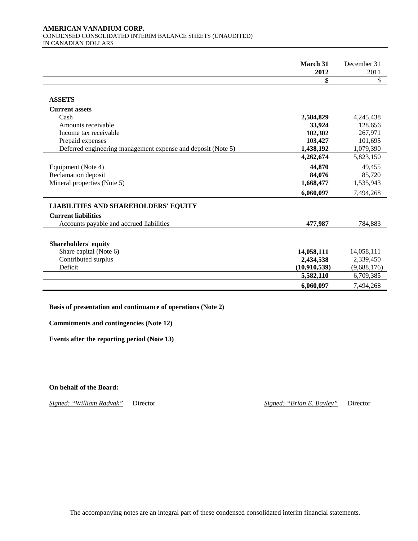#### **AMERICAN VANADIUM CORP.**  CONDENSED CONSOLIDATED INTERIM BALANCE SHEETS (UNAUDITED) IN CANADIAN DOLLARS

|                                                              | March 31     | December 31 |
|--------------------------------------------------------------|--------------|-------------|
|                                                              | 2012         | 2011        |
|                                                              | \$           | \$          |
|                                                              |              |             |
| <b>ASSETS</b>                                                |              |             |
| <b>Current assets</b>                                        |              |             |
| Cash                                                         | 2,584,829    | 4,245,438   |
| Amounts receivable                                           | 33,924       | 128,656     |
| Income tax receivable                                        | 102,302      | 267,971     |
| Prepaid expenses                                             | 103,427      | 101,695     |
| Deferred engineering management expense and deposit (Note 5) | 1,438,192    | 1,079,390   |
|                                                              | 4,262,674    | 5,823,150   |
| Equipment (Note 4)                                           | 44,870       | 49,455      |
| Reclamation deposit                                          | 84,076       | 85,720      |
| Mineral properties (Note 5)                                  | 1,668,477    | 1,535,943   |
|                                                              | 6,060,097    | 7,494,268   |
| <b>LIABILITIES AND SHAREHOLDERS' EQUITY</b>                  |              |             |
| <b>Current liabilities</b>                                   |              |             |
| Accounts payable and accrued liabilities                     | 477,987      | 784,883     |
|                                                              |              |             |
| <b>Shareholders' equity</b>                                  |              |             |
| Share capital (Note 6)                                       | 14,058,111   | 14,058,111  |
| Contributed surplus                                          | 2,434,538    | 2,339,450   |
| Deficit                                                      | (10,910,539) | (9,688,176) |
|                                                              | 5,582,110    | 6,709,385   |
|                                                              | 6,060,097    | 7,494,268   |

**Basis of presentation and continuance of operations (Note 2)**

**Commitments and contingencies (Note 12)** 

**Events after the reporting period (Note 13)** 

**On behalf of the Board:** 

*Signed: "William Radvak"* Director *Signed: "Brian E. Bayley"* Director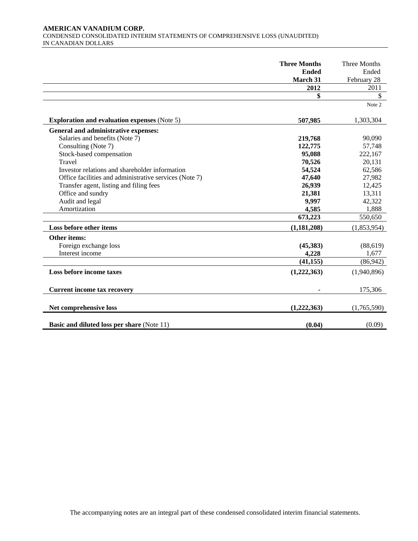# **AMERICAN VANADIUM CORP.**  CONDENSED CONSOLIDATED INTERIM STATEMENTS OF COMPREHENSIVE LOSS (UNAUDITED) IN CANADIAN DOLLARS

|                                                        | <b>Three Months</b> | Three Months |
|--------------------------------------------------------|---------------------|--------------|
|                                                        | <b>Ended</b>        | Ended        |
|                                                        | March 31            | February 28  |
|                                                        | 2012                | 2011         |
|                                                        | \$                  | \$           |
|                                                        |                     | Note 2       |
| <b>Exploration and evaluation expenses (Note 5)</b>    | 507,985             | 1,303,304    |
| General and administrative expenses:                   |                     |              |
| Salaries and benefits (Note 7)                         | 219,768             | 90,090       |
| Consulting (Note 7)                                    | 122,775             | 57,748       |
| Stock-based compensation                               | 95,088              | 222,167      |
| Travel                                                 | 70,526              | 20,131       |
| Investor relations and shareholder information         | 54,524              | 62,586       |
| Office facilities and administrative services (Note 7) | 47,640              | 27,982       |
| Transfer agent, listing and filing fees                | 26,939              | 12,425       |
| Office and sundry                                      | 21,381              | 13,311       |
| Audit and legal                                        | 9,997               | 42,322       |
| Amortization                                           | 4,585               | 1,888        |
|                                                        | 673,223             | 550,650      |
| Loss before other items                                | (1,181,208)         | (1,853,954)  |
| Other items:                                           |                     |              |
| Foreign exchange loss                                  | (45,383)            | (88, 619)    |
| Interest income                                        | 4,228               | 1,677        |
|                                                        | (41, 155)           | (86,942)     |
| Loss before income taxes                               | (1,222,363)         | (1,940,896)  |
| <b>Current income tax recovery</b>                     |                     | 175,306      |
| Net comprehensive loss                                 | (1,222,363)         | (1,765,590)  |
| <b>Basic and diluted loss per share (Note 11)</b>      | (0.04)              | (0.09)       |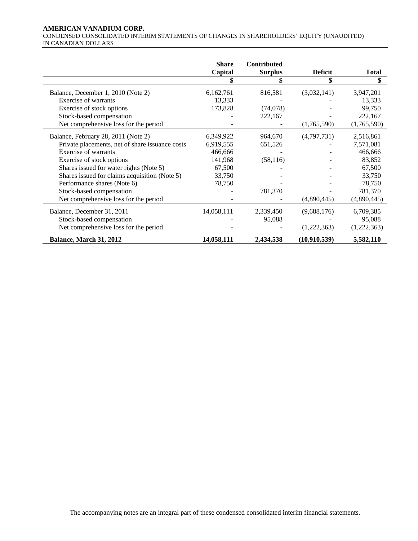# **AMERICAN VANADIUM CORP.**

CONDENSED CONSOLIDATED INTERIM STATEMENTS OF CHANGES IN SHAREHOLDERS' EQUITY (UNAUDITED) IN CANADIAN DOLLARS

|                                                 | <b>Share</b> | Contributed    |                |              |
|-------------------------------------------------|--------------|----------------|----------------|--------------|
|                                                 | Capital      | <b>Surplus</b> | <b>Deficit</b> | <b>Total</b> |
|                                                 |              |                |                |              |
| Balance, December 1, 2010 (Note 2)              | 6,162,761    | 816,581        | (3,032,141)    | 3,947,201    |
| Exercise of warrants                            | 13,333       |                |                | 13,333       |
| Exercise of stock options                       | 173,828      | (74,078)       |                | 99,750       |
| Stock-based compensation                        |              | 222,167        |                | 222,167      |
| Net comprehensive loss for the period           |              |                | (1,765,590)    | (1,765,590)  |
| Balance, February 28, 2011 (Note 2)             | 6,349,922    | 964,670        | (4,797,731)    | 2,516,861    |
| Private placements, net of share issuance costs | 6,919,555    | 651,526        |                | 7,571,081    |
| Exercise of warrants                            | 466,666      |                |                | 466,666      |
| Exercise of stock options                       | 141,968      | (58, 116)      |                | 83,852       |
| Shares issued for water rights (Note 5)         | 67,500       |                |                | 67,500       |
| Shares issued for claims acquisition (Note 5)   | 33,750       |                |                | 33,750       |
| Performance shares (Note 6)                     | 78,750       |                |                | 78,750       |
| Stock-based compensation                        |              | 781,370        |                | 781,370      |
| Net comprehensive loss for the period           |              |                | (4,890,445)    | (4,890,445)  |
| Balance, December 31, 2011                      | 14,058,111   | 2,339,450      | (9,688,176)    | 6,709,385    |
| Stock-based compensation                        |              | 95,088         |                | 95,088       |
| Net comprehensive loss for the period           |              |                | (1,222,363)    | (1,222,363)  |
| Balance, March 31, 2012                         | 14,058,111   | 2,434,538      | (10,910,539)   | 5,582,110    |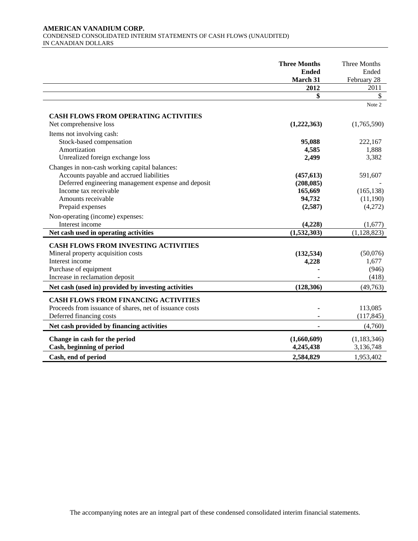# **AMERICAN VANADIUM CORP.**  CONDENSED CONSOLIDATED INTERIM STATEMENTS OF CASH FLOWS (UNAUDITED) IN CANADIAN DOLLARS

|                                                         | <b>Three Months</b><br><b>Ended</b><br>March 31 | Three Months<br>Ended<br>February 28 |
|---------------------------------------------------------|-------------------------------------------------|--------------------------------------|
|                                                         | 2012                                            | 2011                                 |
|                                                         | \$                                              | \$                                   |
|                                                         |                                                 | Note 2                               |
| <b>CASH FLOWS FROM OPERATING ACTIVITIES</b>             |                                                 |                                      |
| Net comprehensive loss                                  | (1,222,363)                                     | (1,765,590)                          |
| Items not involving cash:                               |                                                 |                                      |
| Stock-based compensation                                | 95,088                                          | 222,167                              |
| Amortization                                            | 4,585                                           | 1,888                                |
| Unrealized foreign exchange loss                        | 2,499                                           | 3,382                                |
| Changes in non-cash working capital balances:           |                                                 |                                      |
| Accounts payable and accrued liabilities                | (457, 613)                                      | 591,607                              |
| Deferred engineering management expense and deposit     | (208, 085)                                      |                                      |
| Income tax receivable                                   | 165,669                                         | (165, 138)                           |
| Amounts receivable                                      | 94,732                                          | (11,190)                             |
| Prepaid expenses                                        | (2,587)                                         | (4,272)                              |
| Non-operating (income) expenses:                        |                                                 |                                      |
| Interest income                                         | (4,228)                                         | (1,677)                              |
| Net cash used in operating activities                   | (1,532,303)                                     | (1, 128, 823)                        |
| <b>CASH FLOWS FROM INVESTING ACTIVITIES</b>             |                                                 |                                      |
| Mineral property acquisition costs                      | (132, 534)                                      | (50,076)                             |
| Interest income                                         | 4,228                                           | 1,677                                |
| Purchase of equipment                                   |                                                 | (946)                                |
| Increase in reclamation deposit                         |                                                 | (418)                                |
| Net cash (used in) provided by investing activities     | (128, 306)                                      | (49,763)                             |
|                                                         |                                                 |                                      |
| <b>CASH FLOWS FROM FINANCING ACTIVITIES</b>             |                                                 |                                      |
| Proceeds from issuance of shares, net of issuance costs |                                                 | 113,085                              |
| Deferred financing costs                                |                                                 | (117, 845)                           |
| Net cash provided by financing activities               |                                                 | (4,760)                              |
| Change in cash for the period                           | (1,660,609)                                     | (1, 183, 346)                        |
| Cash, beginning of period                               | 4,245,438                                       | 3,136,748                            |
| Cash, end of period                                     | 2,584,829                                       | 1,953,402                            |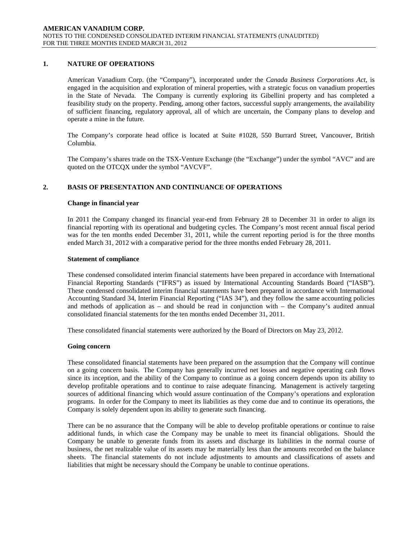# **1. NATURE OF OPERATIONS**

American Vanadium Corp. (the "Company"), incorporated under the *Canada Business Corporations Act*, is engaged in the acquisition and exploration of mineral properties, with a strategic focus on vanadium properties in the State of Nevada. The Company is currently exploring its Gibellini property and has completed a feasibility study on the property. Pending, among other factors, successful supply arrangements, the availability of sufficient financing, regulatory approval, all of which are uncertain, the Company plans to develop and operate a mine in the future.

The Company's corporate head office is located at Suite #1028, 550 Burrard Street, Vancouver, British Columbia.

The Company's shares trade on the TSX-Venture Exchange (the "Exchange") under the symbol "AVC" and are quoted on the OTCQX under the symbol "AVCVF".

# **2. BASIS OF PRESENTATION AND CONTINUANCE OF OPERATIONS**

### **Change in financial year**

In 2011 the Company changed its financial year-end from February 28 to December 31 in order to align its financial reporting with its operational and budgeting cycles. The Company's most recent annual fiscal period was for the ten months ended December 31, 2011, while the current reporting period is for the three months ended March 31, 2012 with a comparative period for the three months ended February 28, 2011.

### **Statement of compliance**

These condensed consolidated interim financial statements have been prepared in accordance with International Financial Reporting Standards ("IFRS") as issued by International Accounting Standards Board ("IASB"). These condensed consolidated interim financial statements have been prepared in accordance with International Accounting Standard 34, Interim Financial Reporting ("IAS 34"), and they follow the same accounting policies and methods of application as – and should be read in conjunction with – the Company's audited annual consolidated financial statements for the ten months ended December 31, 2011.

These consolidated financial statements were authorized by the Board of Directors on May 23, 2012.

### **Going concern**

These consolidated financial statements have been prepared on the assumption that the Company will continue on a going concern basis. The Company has generally incurred net losses and negative operating cash flows since its inception, and the ability of the Company to continue as a going concern depends upon its ability to develop profitable operations and to continue to raise adequate financing. Management is actively targeting sources of additional financing which would assure continuation of the Company's operations and exploration programs. In order for the Company to meet its liabilities as they come due and to continue its operations, the Company is solely dependent upon its ability to generate such financing.

There can be no assurance that the Company will be able to develop profitable operations or continue to raise additional funds, in which case the Company may be unable to meet its financial obligations. Should the Company be unable to generate funds from its assets and discharge its liabilities in the normal course of business, the net realizable value of its assets may be materially less than the amounts recorded on the balance sheets. The financial statements do not include adjustments to amounts and classifications of assets and liabilities that might be necessary should the Company be unable to continue operations.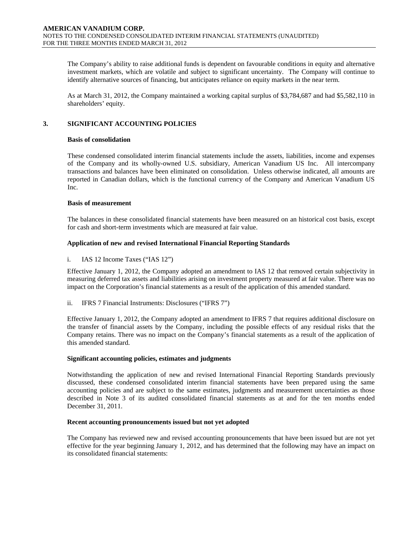The Company's ability to raise additional funds is dependent on favourable conditions in equity and alternative investment markets, which are volatile and subject to significant uncertainty. The Company will continue to identify alternative sources of financing, but anticipates reliance on equity markets in the near term.

As at March 31, 2012, the Company maintained a working capital surplus of \$3,784,687 and had \$5,582,110 in shareholders' equity.

# **3. SIGNIFICANT ACCOUNTING POLICIES**

# **Basis of consolidation**

These condensed consolidated interim financial statements include the assets, liabilities, income and expenses of the Company and its wholly-owned U.S. subsidiary, American Vanadium US Inc. All intercompany transactions and balances have been eliminated on consolidation. Unless otherwise indicated, all amounts are reported in Canadian dollars, which is the functional currency of the Company and American Vanadium US Inc.

# **Basis of measurement**

The balances in these consolidated financial statements have been measured on an historical cost basis, except for cash and short-term investments which are measured at fair value.

# **Application of new and revised International Financial Reporting Standards**

# i. IAS 12 Income Taxes ("IAS 12")

Effective January 1, 2012, the Company adopted an amendment to IAS 12 that removed certain subjectivity in measuring deferred tax assets and liabilities arising on investment property measured at fair value. There was no impact on the Corporation's financial statements as a result of the application of this amended standard.

ii. IFRS 7 Financial Instruments: Disclosures ("IFRS 7")

Effective January 1, 2012, the Company adopted an amendment to IFRS 7 that requires additional disclosure on the transfer of financial assets by the Company, including the possible effects of any residual risks that the Company retains. There was no impact on the Company's financial statements as a result of the application of this amended standard.

# **Significant accounting policies, estimates and judgments**

Notwithstanding the application of new and revised International Financial Reporting Standards previously discussed, these condensed consolidated interim financial statements have been prepared using the same accounting policies and are subject to the same estimates, judgments and measurement uncertainties as those described in Note 3 of its audited consolidated financial statements as at and for the ten months ended December 31, 2011.

### **Recent accounting pronouncements issued but not yet adopted**

The Company has reviewed new and revised accounting pronouncements that have been issued but are not yet effective for the year beginning January 1, 2012, and has determined that the following may have an impact on its consolidated financial statements: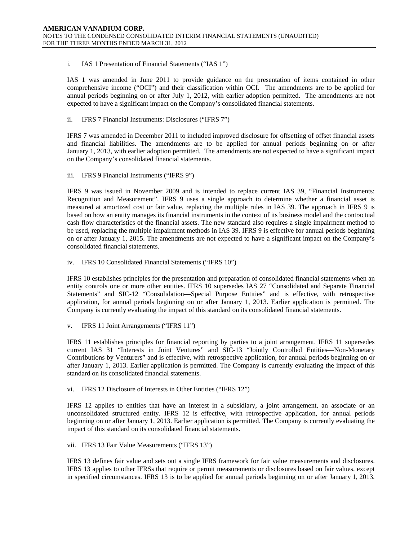# i. IAS 1 Presentation of Financial Statements ("IAS 1")

IAS 1 was amended in June 2011 to provide guidance on the presentation of items contained in other comprehensive income ("OCI") and their classification within OCI. The amendments are to be applied for annual periods beginning on or after July 1, 2012, with earlier adoption permitted. The amendments are not expected to have a significant impact on the Company's consolidated financial statements.

# ii. IFRS 7 Financial Instruments: Disclosures ("IFRS 7")

IFRS 7 was amended in December 2011 to included improved disclosure for offsetting of offset financial assets and financial liabilities. The amendments are to be applied for annual periods beginning on or after January 1, 2013, with earlier adoption permitted. The amendments are not expected to have a significant impact on the Company's consolidated financial statements.

### iii. IFRS 9 Financial Instruments ("IFRS 9")

IFRS 9 was issued in November 2009 and is intended to replace current IAS 39, "Financial Instruments: Recognition and Measurement". IFRS 9 uses a single approach to determine whether a financial asset is measured at amortized cost or fair value, replacing the multiple rules in IAS 39. The approach in IFRS 9 is based on how an entity manages its financial instruments in the context of its business model and the contractual cash flow characteristics of the financial assets. The new standard also requires a single impairment method to be used, replacing the multiple impairment methods in IAS 39. IFRS 9 is effective for annual periods beginning on or after January 1, 2015. The amendments are not expected to have a significant impact on the Company's consolidated financial statements.

### iv. IFRS 10 Consolidated Financial Statements ("IFRS 10")

IFRS 10 establishes principles for the presentation and preparation of consolidated financial statements when an entity controls one or more other entities. IFRS 10 supersedes IAS 27 "Consolidated and Separate Financial Statements" and SIC-12 "Consolidation—Special Purpose Entities" and is effective, with retrospective application, for annual periods beginning on or after January 1, 2013. Earlier application is permitted. The Company is currently evaluating the impact of this standard on its consolidated financial statements.

v. IFRS 11 Joint Arrangements ("IFRS 11")

IFRS 11 establishes principles for financial reporting by parties to a joint arrangement. IFRS 11 supersedes current IAS 31 "Interests in Joint Ventures" and SIC-13 "Jointly Controlled Entities—Non-Monetary Contributions by Venturers" and is effective, with retrospective application, for annual periods beginning on or after January 1, 2013. Earlier application is permitted. The Company is currently evaluating the impact of this standard on its consolidated financial statements.

vi. IFRS 12 Disclosure of Interests in Other Entities ("IFRS 12")

IFRS 12 applies to entities that have an interest in a subsidiary, a joint arrangement, an associate or an unconsolidated structured entity. IFRS 12 is effective, with retrospective application, for annual periods beginning on or after January 1, 2013. Earlier application is permitted. The Company is currently evaluating the impact of this standard on its consolidated financial statements.

### vii. IFRS 13 Fair Value Measurements ("IFRS 13")

IFRS 13 defines fair value and sets out a single IFRS framework for fair value measurements and disclosures. IFRS 13 applies to other IFRSs that require or permit measurements or disclosures based on fair values, except in specified circumstances. IFRS 13 is to be applied for annual periods beginning on or after January 1, 2013.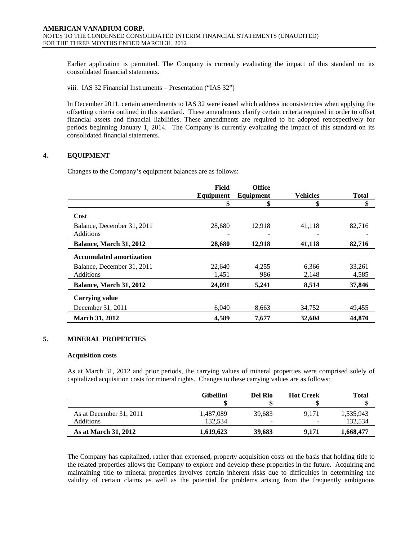Earlier application is permitted. The Company is currently evaluating the impact of this standard on its consolidated financial statements.

viii. IAS 32 Financial Instruments – Presentation ("IAS 32")

In December 2011, certain amendments to IAS 32 were issued which address inconsistencies when applying the offsetting criteria outlined in this standard. These amendments clarify certain criteria required in order to offset financial assets and financial liabilities. These amendments are required to be adopted retrospectively for periods beginning January 1, 2014. The Company is currently evaluating the impact of this standard on its consolidated financial statements.

# **4. EQUIPMENT**

Changes to the Company's equipment balances are as follows:

|                                 | Field     | <b>Office</b> |                 |              |
|---------------------------------|-----------|---------------|-----------------|--------------|
|                                 | Equipment | Equipment     | <b>Vehicles</b> | <b>Total</b> |
|                                 | \$        | \$            | \$              | \$           |
| Cost                            |           |               |                 |              |
| Balance, December 31, 2011      | 28,680    | 12.918        | 41,118          | 82,716       |
| Additions                       |           |               |                 |              |
| Balance, March 31, 2012         | 28,680    | 12,918        | 41,118          | 82,716       |
| <b>Accumulated amortization</b> |           |               |                 |              |
| Balance, December 31, 2011      | 22,640    | 4.255         | 6.366           | 33,261       |
| Additions                       | 1,451     | 986           | 2,148           | 4,585        |
| Balance, March 31, 2012         | 24,091    | 5,241         | 8,514           | 37,846       |
| <b>Carrying value</b>           |           |               |                 |              |
| December 31, 2011               | 6.040     | 8,663         | 34,752          | 49,455       |
| <b>March 31, 2012</b>           | 4,589     | 7.677         | 32,604          | 44,870       |

# **5. MINERAL PROPERTIES**

#### **Acquisition costs**

As at March 31, 2012 and prior periods, the carrying values of mineral properties were comprised solely of capitalized acquisition costs for mineral rights. Changes to these carrying values are as follows:

|                             | Gibellini | Del Rio                  | <b>Hot Creek</b> | Total     |
|-----------------------------|-----------|--------------------------|------------------|-----------|
|                             |           |                          |                  |           |
| As at December 31, 2011     | 1.487.089 | 39.683                   | 9.171            | 1,535,943 |
| <b>Additions</b>            | 132.534   | $\overline{\phantom{0}}$ |                  | 132.534   |
| <b>As at March 31, 2012</b> | 1.619.623 | 39,683                   | 9.171            | 1,668,477 |

The Company has capitalized, rather than expensed, property acquisition costs on the basis that holding title to the related properties allows the Company to explore and develop these properties in the future. Acquiring and maintaining title to mineral properties involves certain inherent risks due to difficulties in determining the validity of certain claims as well as the potential for problems arising from the frequently ambiguous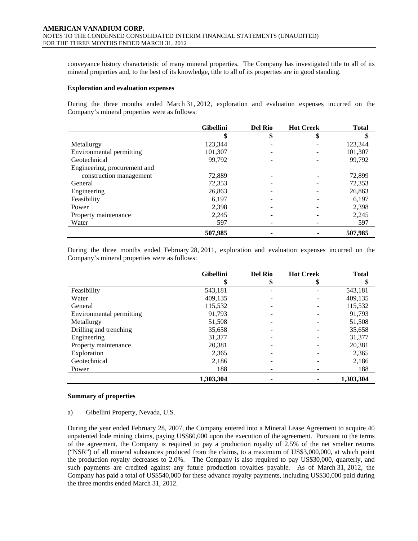conveyance history characteristic of many mineral properties. The Company has investigated title to all of its mineral properties and, to the best of its knowledge, title to all of its properties are in good standing.

#### **Exploration and evaluation expenses**

During the three months ended March 31, 2012, exploration and evaluation expenses incurred on the Company's mineral properties were as follows:

|                              | <b>Gibellini</b> | <b>Del Rio</b> | <b>Hot Creek</b> | <b>Total</b> |
|------------------------------|------------------|----------------|------------------|--------------|
|                              | \$               | \$             | Φ                | \$           |
| Metallurgy                   | 123,344          |                |                  | 123,344      |
| Environmental permitting     | 101,307          |                |                  | 101,307      |
| Geotechnical                 | 99,792           |                |                  | 99,792       |
| Engineering, procurement and |                  |                |                  |              |
| construction management      | 72,889           |                |                  | 72,899       |
| General                      | 72,353           |                |                  | 72,353       |
| Engineering                  | 26,863           |                |                  | 26,863       |
| Feasibility                  | 6,197            |                |                  | 6,197        |
| Power                        | 2,398            |                |                  | 2,398        |
| Property maintenance         | 2,245            |                |                  | 2,245        |
| Water                        | 597              |                |                  | 597          |
|                              | 507,985          |                |                  | 507.985      |

During the three months ended February 28, 2011, exploration and evaluation expenses incurred on the Company's mineral properties were as follows:

|                          | <b>Gibellini</b> | <b>Del Rio</b> | <b>Hot Creek</b> | <b>Total</b> |
|--------------------------|------------------|----------------|------------------|--------------|
|                          | \$               | \$             | \$               | \$           |
| Feasibility              | 543,181          |                |                  | 543,181      |
| Water                    | 409,135          |                |                  | 409,135      |
| General                  | 115,532          |                |                  | 115,532      |
| Environmental permitting | 91,793           |                |                  | 91,793       |
| Metallurgy               | 51,508           |                |                  | 51,508       |
| Drilling and trenching   | 35,658           |                |                  | 35,658       |
| Engineering              | 31,377           |                |                  | 31,377       |
| Property maintenance     | 20,381           |                |                  | 20,381       |
| Exploration              | 2,365            |                |                  | 2,365        |
| Geotechnical             | 2,186            |                |                  | 2,186        |
| Power                    | 188              |                |                  | 188          |
|                          | 1,303,304        |                |                  | 1,303,304    |

### **Summary of properties**

### a) Gibellini Property, Nevada, U.S.

During the year ended February 28, 2007, the Company entered into a Mineral Lease Agreement to acquire 40 unpatented lode mining claims, paying US\$60,000 upon the execution of the agreement. Pursuant to the terms of the agreement, the Company is required to pay a production royalty of 2.5% of the net smelter returns ("NSR") of all mineral substances produced from the claims, to a maximum of US\$3,000,000, at which point the production royalty decreases to 2.0%. The Company is also required to pay US\$30,000, quarterly, and such payments are credited against any future production royalties payable. As of March 31, 2012, the Company has paid a total of US\$540,000 for these advance royalty payments, including US\$30,000 paid during the three months ended March 31, 2012.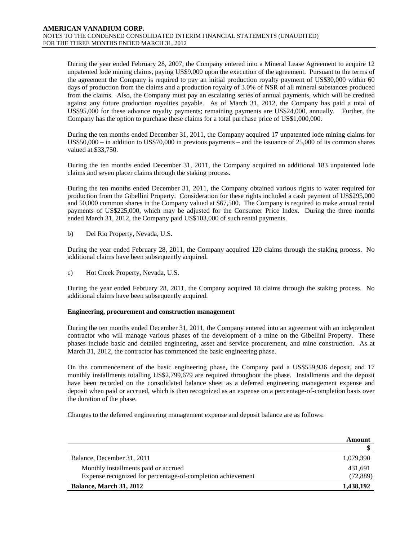During the year ended February 28, 2007, the Company entered into a Mineral Lease Agreement to acquire 12 unpatented lode mining claims, paying US\$9,000 upon the execution of the agreement. Pursuant to the terms of the agreement the Company is required to pay an initial production royalty payment of US\$30,000 within 60 days of production from the claims and a production royalty of 3.0% of NSR of all mineral substances produced from the claims. Also, the Company must pay an escalating series of annual payments, which will be credited against any future production royalties payable. As of March 31, 2012, the Company has paid a total of US\$95,000 for these advance royalty payments; remaining payments are US\$24,000, annually. Further, the Company has the option to purchase these claims for a total purchase price of US\$1,000,000.

During the ten months ended December 31, 2011, the Company acquired 17 unpatented lode mining claims for US\$50,000 – in addition to US\$70,000 in previous payments – and the issuance of 25,000 of its common shares valued at \$33,750.

During the ten months ended December 31, 2011, the Company acquired an additional 183 unpatented lode claims and seven placer claims through the staking process.

During the ten months ended December 31, 2011, the Company obtained various rights to water required for production from the Gibellini Property. Consideration for these rights included a cash payment of US\$295,000 and 50,000 common shares in the Company valued at \$67,500. The Company is required to make annual rental payments of US\$225,000, which may be adjusted for the Consumer Price Index. During the three months ended March 31, 2012, the Company paid US\$103,000 of such rental payments.

b) Del Rio Property, Nevada, U.S.

During the year ended February 28, 2011, the Company acquired 120 claims through the staking process. No additional claims have been subsequently acquired.

c) Hot Creek Property, Nevada, U.S.

During the year ended February 28, 2011, the Company acquired 18 claims through the staking process. No additional claims have been subsequently acquired.

# **Engineering, procurement and construction management**

During the ten months ended December 31, 2011, the Company entered into an agreement with an independent contractor who will manage various phases of the development of a mine on the Gibellini Property. These phases include basic and detailed engineering, asset and service procurement, and mine construction. As at March 31, 2012, the contractor has commenced the basic engineering phase.

On the commencement of the basic engineering phase, the Company paid a US\$559,936 deposit, and 17 monthly installments totalling US\$2,799,679 are required throughout the phase. Installments and the deposit have been recorded on the consolidated balance sheet as a deferred engineering management expense and deposit when paid or accrued, which is then recognized as an expense on a percentage-of-completion basis over the duration of the phase.

Changes to the deferred engineering management expense and deposit balance are as follows:

|                                                             | Amount    |
|-------------------------------------------------------------|-----------|
|                                                             |           |
| Balance, December 31, 2011                                  | 1,079,390 |
| Monthly installments paid or accrued                        | 431,691   |
| Expense recognized for percentage-of-completion achievement | (72, 889) |
| Balance, March 31, 2012                                     | 1,438,192 |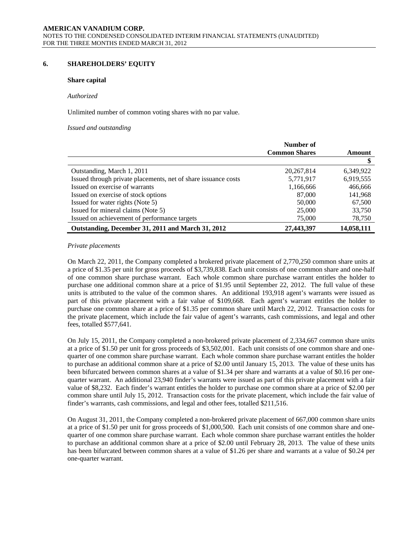# **6. SHAREHOLDERS' EQUITY**

### **Share capital**

#### *Authorized*

Unlimited number of common voting shares with no par value.

#### *Issued and outstanding*

|                                                                | Number of            |            |
|----------------------------------------------------------------|----------------------|------------|
|                                                                | <b>Common Shares</b> | Amount     |
|                                                                |                      | \$         |
| Outstanding, March 1, 2011                                     | 20, 267, 814         | 6,349,922  |
| Issued through private placements, net of share issuance costs | 5,771,917            | 6,919,555  |
| Issued on exercise of warrants                                 | 1,166,666            | 466,666    |
| Issued on exercise of stock options                            | 87,000               | 141,968    |
| Issued for water rights (Note 5)                               | 50,000               | 67,500     |
| Issued for mineral claims (Note 5)                             | 25,000               | 33,750     |
| Issued on achievement of performance targets                   | 75,000               | 78,750     |
| Outstanding, December 31, 2011 and March 31, 2012              | 27,443,397           | 14,058,111 |

#### *Private placements*

On March 22, 2011, the Company completed a brokered private placement of 2,770,250 common share units at a price of \$1.35 per unit for gross proceeds of \$3,739,838. Each unit consists of one common share and one-half of one common share purchase warrant. Each whole common share purchase warrant entitles the holder to purchase one additional common share at a price of \$1.95 until September 22, 2012. The full value of these units is attributed to the value of the common shares. An additional 193,918 agent's warrants were issued as part of this private placement with a fair value of \$109,668. Each agent's warrant entitles the holder to purchase one common share at a price of \$1.35 per common share until March 22, 2012. Transaction costs for the private placement, which include the fair value of agent's warrants, cash commissions, and legal and other fees, totalled \$577,641.

On July 15, 2011, the Company completed a non-brokered private placement of 2,334,667 common share units at a price of \$1.50 per unit for gross proceeds of \$3,502,001. Each unit consists of one common share and onequarter of one common share purchase warrant. Each whole common share purchase warrant entitles the holder to purchase an additional common share at a price of \$2.00 until January 15, 2013. The value of these units has been bifurcated between common shares at a value of \$1.34 per share and warrants at a value of \$0.16 per onequarter warrant. An additional 23,940 finder's warrants were issued as part of this private placement with a fair value of \$8,232. Each finder's warrant entitles the holder to purchase one common share at a price of \$2.00 per common share until July 15, 2012. Transaction costs for the private placement, which include the fair value of finder's warrants, cash commissions, and legal and other fees, totalled \$211,516.

On August 31, 2011, the Company completed a non-brokered private placement of 667,000 common share units at a price of \$1.50 per unit for gross proceeds of \$1,000,500. Each unit consists of one common share and onequarter of one common share purchase warrant. Each whole common share purchase warrant entitles the holder to purchase an additional common share at a price of \$2.00 until February 28, 2013. The value of these units has been bifurcated between common shares at a value of \$1.26 per share and warrants at a value of \$0.24 per one-quarter warrant.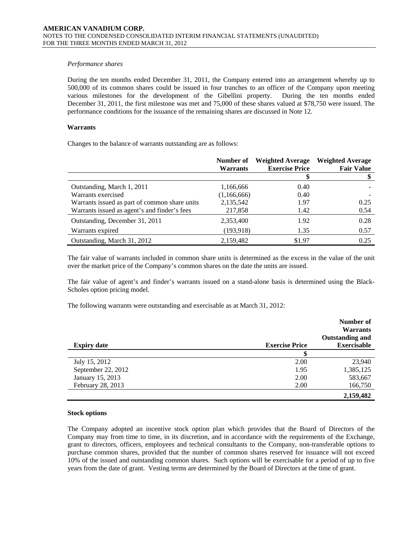## *Performance shares*

During the ten months ended December 31, 2011, the Company entered into an arrangement whereby up to 500,000 of its common shares could be issued in four tranches to an officer of the Company upon meeting various milestones for the development of the Gibellini property. During the ten months ended December 31, 2011, the first milestone was met and 75,000 of these shares valued at \$78,750 were issued. The performance conditions for the issuance of the remaining shares are discussed in Note 12.

# **Warrants**

Changes to the balance of warrants outstanding are as follows:

|                                               | Number of<br><b>Warrants</b> | <b>Weighted Average</b><br><b>Exercise Price</b> | <b>Weighted Average</b><br><b>Fair Value</b> |
|-----------------------------------------------|------------------------------|--------------------------------------------------|----------------------------------------------|
|                                               |                              |                                                  |                                              |
| Outstanding, March 1, 2011                    | 1,166,666                    | 0.40                                             |                                              |
| Warrants exercised                            | (1,166,666)                  | 0.40                                             |                                              |
| Warrants issued as part of common share units | 2,135,542                    | 1.97                                             | 0.25                                         |
| Warrants issued as agent's and finder's fees  | 217,858                      | 1.42                                             | 0.54                                         |
| Outstanding, December 31, 2011                | 2,353,400                    | 1.92                                             | 0.28                                         |
| Warrants expired                              | (193, 918)                   | 1.35                                             | 0.57                                         |
| Outstanding, March 31, 2012                   | 2,159,482                    | \$1.97                                           | 0.25                                         |

The fair value of warrants included in common share units is determined as the excess in the value of the unit over the market price of the Company's common shares on the date the units are issued.

The fair value of agent's and finder's warrants issued on a stand-alone basis is determined using the Black-Scholes option pricing model.

The following warrants were outstanding and exercisable as at March 31, 2012:

|                    |                       | Number of              |
|--------------------|-----------------------|------------------------|
|                    |                       | <b>Warrants</b>        |
|                    |                       | <b>Outstanding and</b> |
| <b>Expiry date</b> | <b>Exercise Price</b> | <b>Exercisable</b>     |
|                    |                       |                        |
| July 15, 2012      | 2.00                  | 23,940                 |
| September 22, 2012 | 1.95                  | 1,385,125              |
| January 15, 2013   | 2.00                  | 583,667                |
| February 28, 2013  | 2.00                  | 166,750                |
|                    |                       | 2,159,482              |

# **Stock options**

 The Company adopted an incentive stock option plan which provides that the Board of Directors of the Company may from time to time, in its discretion, and in accordance with the requirements of the Exchange, grant to directors, officers, employees and technical consultants to the Company, non-transferable options to purchase common shares, provided that the number of common shares reserved for issuance will not exceed 10% of the issued and outstanding common shares. Such options will be exercisable for a period of up to five years from the date of grant. Vesting terms are determined by the Board of Directors at the time of grant.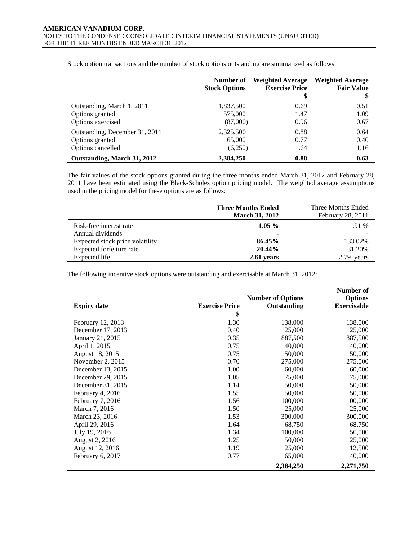|                                | Number of<br><b>Stock Options</b> | <b>Weighted Average</b><br><b>Exercise Price</b> | <b>Weighted Average</b><br><b>Fair Value</b> |
|--------------------------------|-----------------------------------|--------------------------------------------------|----------------------------------------------|
|                                |                                   |                                                  |                                              |
| Outstanding, March 1, 2011     | 1,837,500                         | 0.69                                             | 0.51                                         |
| Options granted                | 575,000                           | 1.47                                             | 1.09                                         |
| Options exercised              | (87,000)                          | 0.96                                             | 0.67                                         |
| Outstanding, December 31, 2011 | 2,325,500                         | 0.88                                             | 0.64                                         |
| Options granted                | 65,000                            | 0.77                                             | 0.40                                         |
| Options cancelled              | (6,250)                           | 1.64                                             | 1.16                                         |
| Outstanding, March 31, 2012    | 2.384.250                         | 0.88                                             | 0.63                                         |

Stock option transactions and the number of stock options outstanding are summarized as follows:

The fair values of the stock options granted during the three months ended March 31, 2012 and February 28, 2011 have been estimated using the Black-Scholes option pricing model. The weighted average assumptions used in the pricing model for these options are as follows:

|                                 | <b>Three Months Ended</b> | Three Months Ended |
|---------------------------------|---------------------------|--------------------|
|                                 | <b>March 31, 2012</b>     | February 28, 2011  |
| Risk-free interest rate         | $1.05\%$                  | 1.91 %             |
| Annual dividends                |                           |                    |
| Expected stock price volatility | 86.45%                    | 133.02%            |
| Expected forfeiture rate        | 20.44%                    | 31.20%             |
| Expected life                   | 2.61 years                | 2.79 years         |

The following incentive stock options were outstanding and exercisable at March 31, 2012:

j.

|                    |                       |                          | Number of          |
|--------------------|-----------------------|--------------------------|--------------------|
|                    |                       | <b>Number of Options</b> | <b>Options</b>     |
| <b>Expiry date</b> | <b>Exercise Price</b> | Outstanding              | <b>Exercisable</b> |
|                    | \$                    |                          |                    |
| February 12, 2013  | 1.30                  | 138,000                  | 138,000            |
| December 17, 2013  | 0.40                  | 25,000                   | 25,000             |
| January 21, 2015   | 0.35                  | 887,500                  | 887,500            |
| April 1, 2015      | 0.75                  | 40,000                   | 40,000             |
| August 18, 2015    | 0.75                  | 50,000                   | 50,000             |
| November 2, $2015$ | 0.70                  | 275,000                  | 275,000            |
| December 13, 2015  | 1.00                  | 60,000                   | 60,000             |
| December 29, 2015  | 1.05                  | 75,000                   | 75,000             |
| December 31, 2015  | 1.14                  | 50,000                   | 50,000             |
| February 4, 2016   | 1.55                  | 50,000                   | 50,000             |
| February 7, 2016   | 1.56                  | 100,000                  | 100,000            |
| March 7, 2016      | 1.50                  | 25,000                   | 25,000             |
| March 23, 2016     | 1.53                  | 300,000                  | 300,000            |
| April 29, 2016     | 1.64                  | 68,750                   | 68,750             |
| July 19, 2016      | 1.34                  | 100,000                  | 50,000             |
| August 2, 2016     | 1.25                  | 50,000                   | 25,000             |
| August 12, 2016    | 1.19                  | 25,000                   | 12,500             |
| February 6, 2017   | 0.77                  | 65,000                   | 40,000             |
|                    |                       | 2,384,250                | 2,271,750          |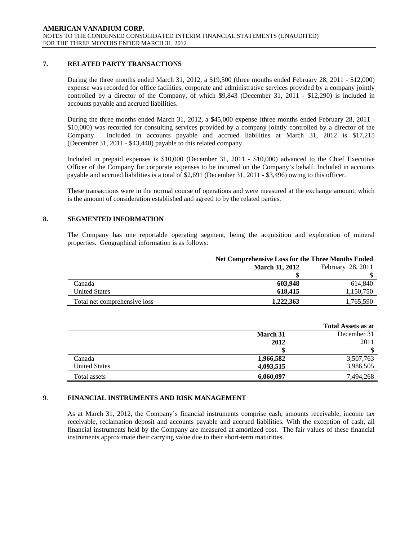# **7. RELATED PARTY TRANSACTIONS**

During the three months ended March 31, 2012, a \$19,500 (three months ended February 28, 2011 - \$12,000) expense was recorded for office facilities, corporate and administrative services provided by a company jointly controlled by a director of the Company, of which \$9,843 (December 31, 2011 - \$12,290) is included in accounts payable and accrued liabilities.

During the three months ended March 31, 2012, a \$45,000 expense (three months ended February 28, 2011 - \$10,000) was recorded for consulting services provided by a company jointly controlled by a director of the Company. Included in accounts payable and accrued liabilities at March 31, 2012 is \$17,215 (December 31, 2011 - \$43,448) payable to this related company.

Included in prepaid expenses is \$10,000 (December 31, 2011 - \$10,000) advanced to the Chief Executive Officer of the Company for corporate expenses to be incurred on the Company's behalf. Included in accounts payable and accrued liabilities is a total of \$2,691 (December 31, 2011 - \$3,496) owing to this officer.

These transactions were in the normal course of operations and were measured at the exchange amount, which is the amount of consideration established and agreed to by the related parties.

# **8. SEGMENTED INFORMATION**

The Company has one reportable operating segment, being the acquisition and exploration of mineral properties. Geographical information is as follows:

|                              | <b>Net Comprehensive Loss for the Three Months Ended</b> |                   |  |
|------------------------------|----------------------------------------------------------|-------------------|--|
|                              | <b>March 31, 2012</b>                                    | February 28, 2011 |  |
|                              |                                                          |                   |  |
| Canada                       | 603.948                                                  | 614.840           |  |
| <b>United States</b>         | 618,415                                                  | 1,150,750         |  |
| Total net comprehensive loss | 1,222,363                                                | 1,765,590         |  |

|                      |           | <b>Total Assets as at</b> |
|----------------------|-----------|---------------------------|
|                      | March 31  | December 31               |
|                      | 2012      | 2011                      |
|                      |           |                           |
| Canada               | 1,966,582 | 3,507,763                 |
| <b>United States</b> | 4,093,515 | 3,986,505                 |
| Total assets         | 6,060,097 | 7.494.268                 |

# **9**. **FINANCIAL INSTRUMENTS AND RISK MANAGEMENT**

As at March 31, 2012, the Company's financial instruments comprise cash, amounts receivable, income tax receivable, reclamation deposit and accounts payable and accrued liabilities. With the exception of cash, all financial instruments held by the Company are measured at amortized cost. The fair values of these financial instruments approximate their carrying value due to their short-term maturities.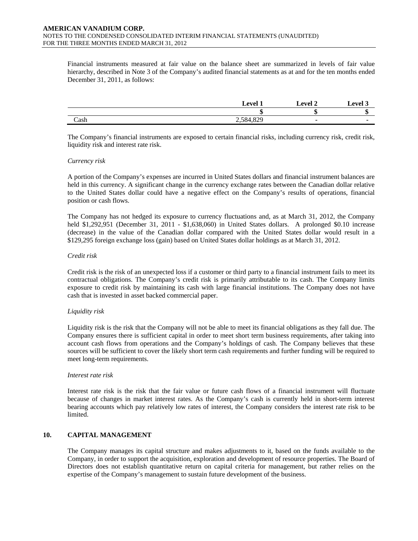Financial instruments measured at fair value on the balance sheet are summarized in levels of fair value hierarchy, described in Note 3 of the Company's audited financial statements as at and for the ten months ended December 31, 2011, as follows:

|      | $\alpha$                  | evel 2 | . .<br>' aval |
|------|---------------------------|--------|---------------|
|      |                           | m<br>ш | ш             |
| Cash | $\sim$ $\sim$<br>2,001,02 |        |               |

The Company's financial instruments are exposed to certain financial risks, including currency risk, credit risk, liquidity risk and interest rate risk.

### *Currency risk*

A portion of the Company's expenses are incurred in United States dollars and financial instrument balances are held in this currency. A significant change in the currency exchange rates between the Canadian dollar relative to the United States dollar could have a negative effect on the Company's results of operations, financial position or cash flows.

The Company has not hedged its exposure to currency fluctuations and, as at March 31, 2012, the Company held \$1,292,951 (December 31, 2011 - \$1,638,060) in United States dollars. A prolonged \$0.10 increase (decrease) in the value of the Canadian dollar compared with the United States dollar would result in a \$129,295 foreign exchange loss (gain) based on United States dollar holdings as at March 31, 2012.

#### *Credit risk*

Credit risk is the risk of an unexpected loss if a customer or third party to a financial instrument fails to meet its contractual obligations. The Company's credit risk is primarily attributable to its cash. The Company limits exposure to credit risk by maintaining its cash with large financial institutions. The Company does not have cash that is invested in asset backed commercial paper.

### *Liquidity risk*

Liquidity risk is the risk that the Company will not be able to meet its financial obligations as they fall due. The Company ensures there is sufficient capital in order to meet short term business requirements, after taking into account cash flows from operations and the Company's holdings of cash. The Company believes that these sources will be sufficient to cover the likely short term cash requirements and further funding will be required to meet long-term requirements.

#### *Interest rate risk*

Interest rate risk is the risk that the fair value or future cash flows of a financial instrument will fluctuate because of changes in market interest rates. As the Company's cash is currently held in short-term interest bearing accounts which pay relatively low rates of interest, the Company considers the interest rate risk to be limited.

### **10. CAPITAL MANAGEMENT**

The Company manages its capital structure and makes adjustments to it, based on the funds available to the Company, in order to support the acquisition, exploration and development of resource properties. The Board of Directors does not establish quantitative return on capital criteria for management, but rather relies on the expertise of the Company's management to sustain future development of the business.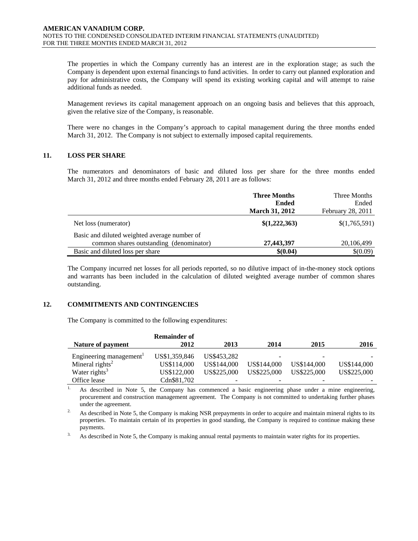The properties in which the Company currently has an interest are in the exploration stage; as such the Company is dependent upon external financings to fund activities. In order to carry out planned exploration and pay for administrative costs, the Company will spend its existing working capital and will attempt to raise additional funds as needed.

Management reviews its capital management approach on an ongoing basis and believes that this approach, given the relative size of the Company, is reasonable.

There were no changes in the Company's approach to capital management during the three months ended March 31, 2012. The Company is not subject to externally imposed capital requirements.

# **11. LOSS PER SHARE**

The numerators and denominators of basic and diluted loss per share for the three months ended March 31, 2012 and three months ended February 28, 2011 are as follows:

|                                              | <b>Three Months</b>   | Three Months      |
|----------------------------------------------|-----------------------|-------------------|
|                                              | <b>Ended</b>          | Ended             |
|                                              | <b>March 31, 2012</b> | February 28, 2011 |
| Net loss (numerator)                         | \$(1,222,363)         | \$(1,765,591)     |
| Basic and diluted weighted average number of |                       |                   |
| common shares outstanding (denominator)      | 27,443,397            | 20,106,499        |
| Basic and diluted loss per share             | \$(0.04)              | \$(0.09)          |

The Company incurred net losses for all periods reported, so no dilutive impact of in-the-money stock options and warrants has been included in the calculation of diluted weighted average number of common shares outstanding.

# **12. COMMITMENTS AND CONTINGENCIES**

The Company is committed to the following expenditures:

|                                     | <b>Remainder of</b> |             |             |             |             |
|-------------------------------------|---------------------|-------------|-------------|-------------|-------------|
| Nature of payment                   | 2012                | 2013        | 2014        | 2015        | 2016        |
|                                     |                     |             |             |             |             |
| Engineering management <sup>1</sup> | US\$1,359,846       | US\$453.282 | -           |             |             |
| Mineral rights <sup>2</sup>         | US\$114,000         | US\$144,000 | US\$144,000 | US\$144,000 | US\$144,000 |
| Water rights <sup>3</sup>           | US\$122,000         | US\$225,000 | US\$225,000 | US\$225,000 | US\$225,000 |
| Office lease                        | Cdn\$81,702         |             | -           |             |             |

<sup>1.</sup> As described in Note 5, the Company has commenced a basic engineering phase under a mine engineering, procurement and construction management agreement. The Company is not committed to undertaking further phases under the agreement.

<sup>2.</sup> As described in Note 5, the Company is making NSR prepayments in order to acquire and maintain mineral rights to its properties. To maintain certain of its properties in good standing, the Company is required to continue making these payments.

<sup>3.</sup> As described in Note 5, the Company is making annual rental payments to maintain water rights for its properties.